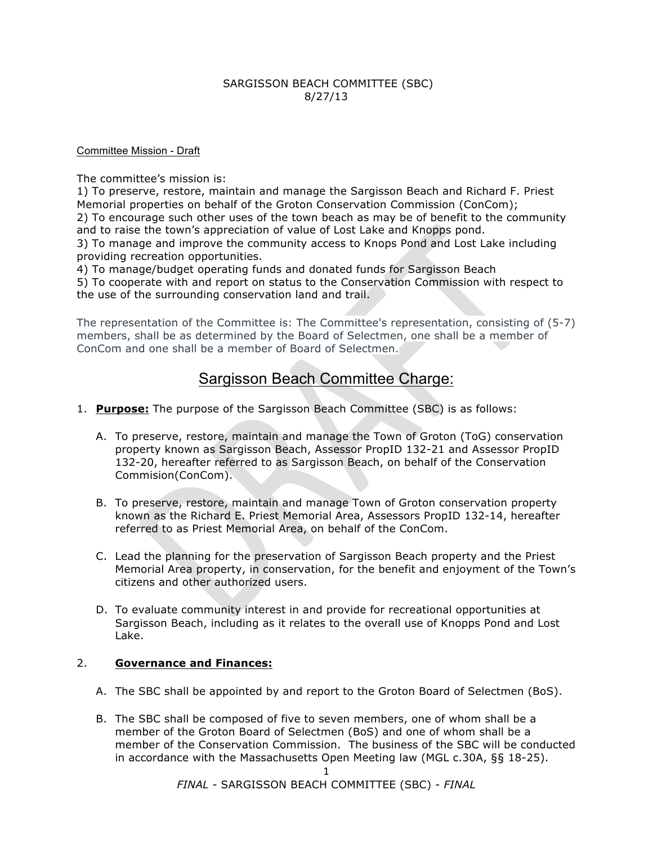## SARGISSON BEACH COMMITTEE (SBC) 8/27/13

#### Committee Mission - Draft

The committee's mission is:

1) To preserve, restore, maintain and manage the Sargisson Beach and Richard F. Priest Memorial properties on behalf of the Groton Conservation Commission (ConCom);

2) To encourage such other uses of the town beach as may be of benefit to the community and to raise the town's appreciation of value of Lost Lake and Knopps pond.

3) To manage and improve the community access to Knops Pond and Lost Lake including providing recreation opportunities.

4) To manage/budget operating funds and donated funds for Sargisson Beach

5) To cooperate with and report on status to the Conservation Commission with respect to the use of the surrounding conservation land and trail.

The representation of the Committee is: The Committee's representation, consisting of (5-7) members, shall be as determined by the Board of Selectmen, one shall be a member of ConCom and one shall be a member of Board of Selectmen.

# Sargisson Beach Committee Charge:

- 1. **Purpose:** The purpose of the Sargisson Beach Committee (SBC) is as follows:
	- A. To preserve, restore, maintain and manage the Town of Groton (ToG) conservation property known as Sargisson Beach, Assessor PropID 132-21 and Assessor PropID 132-20, hereafter referred to as Sargisson Beach, on behalf of the Conservation Commision(ConCom).
	- B. To preserve, restore, maintain and manage Town of Groton conservation property known as the Richard E. Priest Memorial Area, Assessors PropID 132-14, hereafter referred to as Priest Memorial Area, on behalf of the ConCom.
	- C. Lead the planning for the preservation of Sargisson Beach property and the Priest Memorial Area property, in conservation, for the benefit and enjoyment of the Town's citizens and other authorized users.
	- D. To evaluate community interest in and provide for recreational opportunities at Sargisson Beach, including as it relates to the overall use of Knopps Pond and Lost Lake.

## 2. **Governance and Finances:**

- A. The SBC shall be appointed by and report to the Groton Board of Selectmen (BoS).
- B. The SBC shall be composed of five to seven members, one of whom shall be a member of the Groton Board of Selectmen (BoS) and one of whom shall be a member of the Conservation Commission. The business of the SBC will be conducted in accordance with the Massachusetts Open Meeting law (MGL c.30A, §§ 18-25).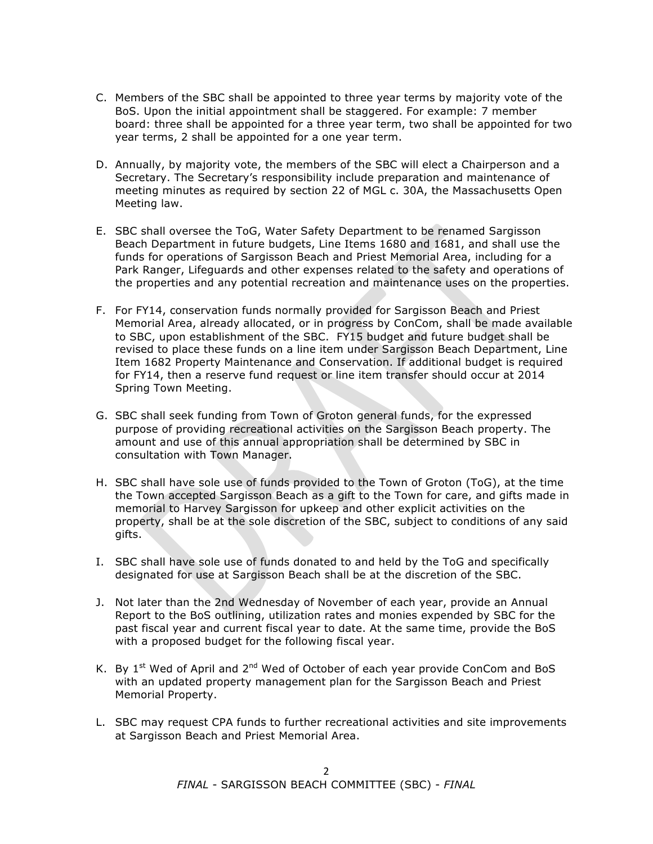- C. Members of the SBC shall be appointed to three year terms by majority vote of the BoS. Upon the initial appointment shall be staggered. For example: 7 member board: three shall be appointed for a three year term, two shall be appointed for two year terms, 2 shall be appointed for a one year term.
- D. Annually, by majority vote, the members of the SBC will elect a Chairperson and a Secretary. The Secretary's responsibility include preparation and maintenance of meeting minutes as required by section 22 of MGL c. 30A, the Massachusetts Open Meeting law.
- E. SBC shall oversee the ToG, Water Safety Department to be renamed Sargisson Beach Department in future budgets, Line Items 1680 and 1681, and shall use the funds for operations of Sargisson Beach and Priest Memorial Area, including for a Park Ranger, Lifeguards and other expenses related to the safety and operations of the properties and any potential recreation and maintenance uses on the properties.
- F. For FY14, conservation funds normally provided for Sargisson Beach and Priest Memorial Area, already allocated, or in progress by ConCom, shall be made available to SBC, upon establishment of the SBC. FY15 budget and future budget shall be revised to place these funds on a line item under Sargisson Beach Department, Line Item 1682 Property Maintenance and Conservation. If additional budget is required for FY14, then a reserve fund request or line item transfer should occur at 2014 Spring Town Meeting.
- G. SBC shall seek funding from Town of Groton general funds, for the expressed purpose of providing recreational activities on the Sargisson Beach property. The amount and use of this annual appropriation shall be determined by SBC in consultation with Town Manager.
- H. SBC shall have sole use of funds provided to the Town of Groton (ToG), at the time the Town accepted Sargisson Beach as a gift to the Town for care, and gifts made in memorial to Harvey Sargisson for upkeep and other explicit activities on the property, shall be at the sole discretion of the SBC, subject to conditions of any said gifts.
- I. SBC shall have sole use of funds donated to and held by the ToG and specifically designated for use at Sargisson Beach shall be at the discretion of the SBC.
- J. Not later than the 2nd Wednesday of November of each year, provide an Annual Report to the BoS outlining, utilization rates and monies expended by SBC for the past fiscal year and current fiscal year to date. At the same time, provide the BoS with a proposed budget for the following fiscal year.
- K. By  $1<sup>st</sup>$  Wed of April and  $2<sup>nd</sup>$  Wed of October of each year provide ConCom and BoS with an updated property management plan for the Sargisson Beach and Priest Memorial Property.
- L. SBC may request CPA funds to further recreational activities and site improvements at Sargisson Beach and Priest Memorial Area.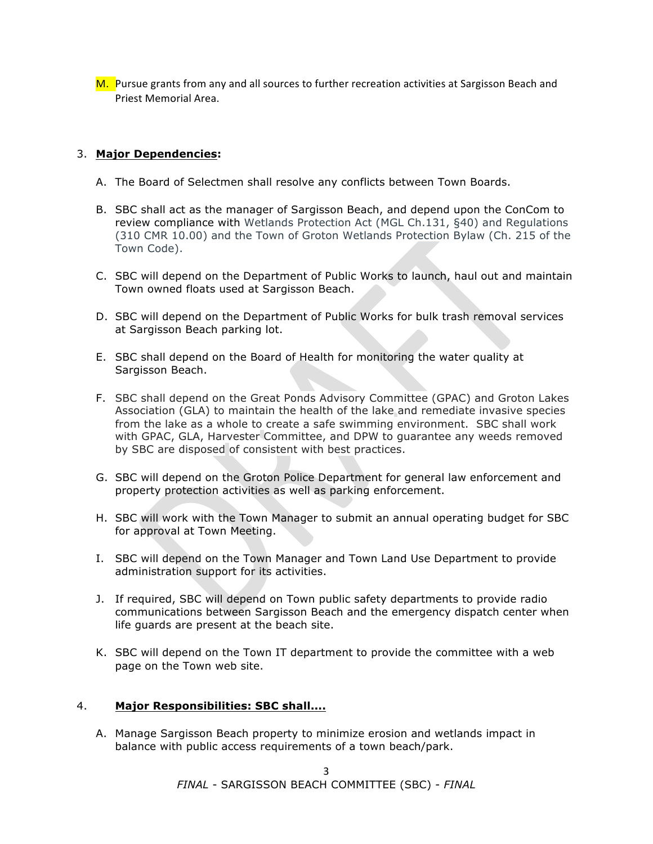M. Pursue grants from any and all sources to further recreation activities at Sargisson Beach and Priest Memorial Area.

## 3. **Major Dependencies:**

- A. The Board of Selectmen shall resolve any conflicts between Town Boards.
- B. SBC shall act as the manager of Sargisson Beach, and depend upon the ConCom to review compliance with Wetlands Protection Act (MGL Ch.131, §40) and Regulations (310 CMR 10.00) and the Town of Groton Wetlands Protection Bylaw (Ch. 215 of the Town Code).
- C. SBC will depend on the Department of Public Works to launch, haul out and maintain Town owned floats used at Sargisson Beach.
- D. SBC will depend on the Department of Public Works for bulk trash removal services at Sargisson Beach parking lot.
- E. SBC shall depend on the Board of Health for monitoring the water quality at Sargisson Beach.
- F. SBC shall depend on the Great Ponds Advisory Committee (GPAC) and Groton Lakes Association (GLA) to maintain the health of the lake and remediate invasive species from the lake as a whole to create a safe swimming environment. SBC shall work with GPAC, GLA, Harvester Committee, and DPW to guarantee any weeds removed by SBC are disposed of consistent with best practices.
- G. SBC will depend on the Groton Police Department for general law enforcement and property protection activities as well as parking enforcement.
- H. SBC will work with the Town Manager to submit an annual operating budget for SBC for approval at Town Meeting.
- I. SBC will depend on the Town Manager and Town Land Use Department to provide administration support for its activities.
- J. If required, SBC will depend on Town public safety departments to provide radio communications between Sargisson Beach and the emergency dispatch center when life guards are present at the beach site.
- K. SBC will depend on the Town IT department to provide the committee with a web page on the Town web site.

#### 4. **Major Responsibilities: SBC shall....**

A. Manage Sargisson Beach property to minimize erosion and wetlands impact in balance with public access requirements of a town beach/park.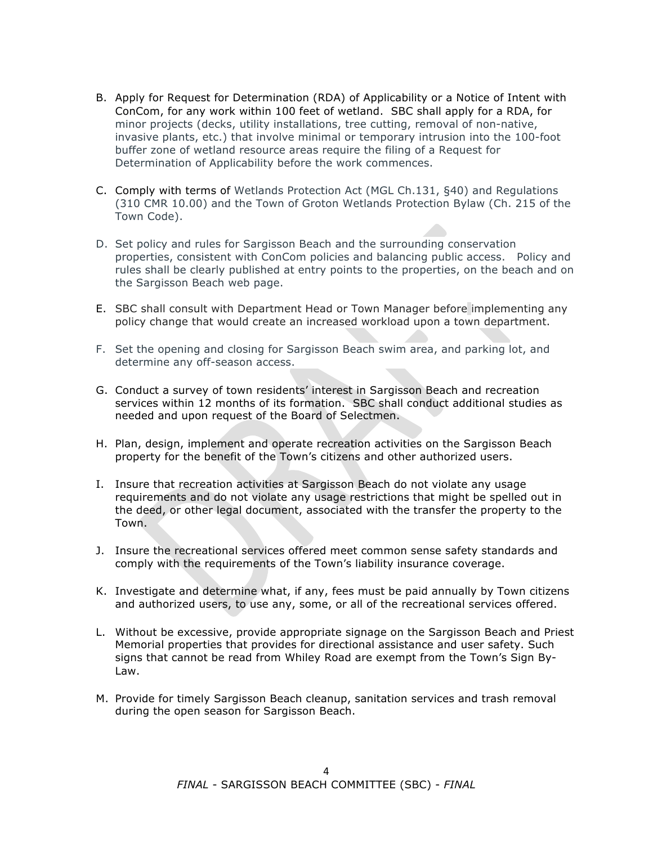- B. Apply for Request for Determination (RDA) of Applicability or a Notice of Intent with ConCom, for any work within 100 feet of wetland. SBC shall apply for a RDA, for minor projects (decks, utility installations, tree cutting, removal of non-native, invasive plants, etc.) that involve minimal or temporary intrusion into the 100-foot buffer zone of wetland resource areas require the filing of a Request for Determination of Applicability before the work commences.
- C. Comply with terms of Wetlands Protection Act (MGL Ch.131, §40) and Regulations (310 CMR 10.00) and the Town of Groton Wetlands Protection Bylaw (Ch. 215 of the Town Code).
- D. Set policy and rules for Sargisson Beach and the surrounding conservation properties, consistent with ConCom policies and balancing public access. Policy and rules shall be clearly published at entry points to the properties, on the beach and on the Sargisson Beach web page.
- E. SBC shall consult with Department Head or Town Manager before implementing any policy change that would create an increased workload upon a town department.
- F. Set the opening and closing for Sargisson Beach swim area, and parking lot, and determine any off-season access.
- G. Conduct a survey of town residents' interest in Sargisson Beach and recreation services within 12 months of its formation. SBC shall conduct additional studies as needed and upon request of the Board of Selectmen.
- H. Plan, design, implement and operate recreation activities on the Sargisson Beach property for the benefit of the Town's citizens and other authorized users.
- I. Insure that recreation activities at Sargisson Beach do not violate any usage requirements and do not violate any usage restrictions that might be spelled out in the deed, or other legal document, associated with the transfer the property to the Town.
- J. Insure the recreational services offered meet common sense safety standards and comply with the requirements of the Town's liability insurance coverage.
- K. Investigate and determine what, if any, fees must be paid annually by Town citizens and authorized users, to use any, some, or all of the recreational services offered.
- L. Without be excessive, provide appropriate signage on the Sargisson Beach and Priest Memorial properties that provides for directional assistance and user safety. Such signs that cannot be read from Whiley Road are exempt from the Town's Sign By-Law.
- M. Provide for timely Sargisson Beach cleanup, sanitation services and trash removal during the open season for Sargisson Beach.